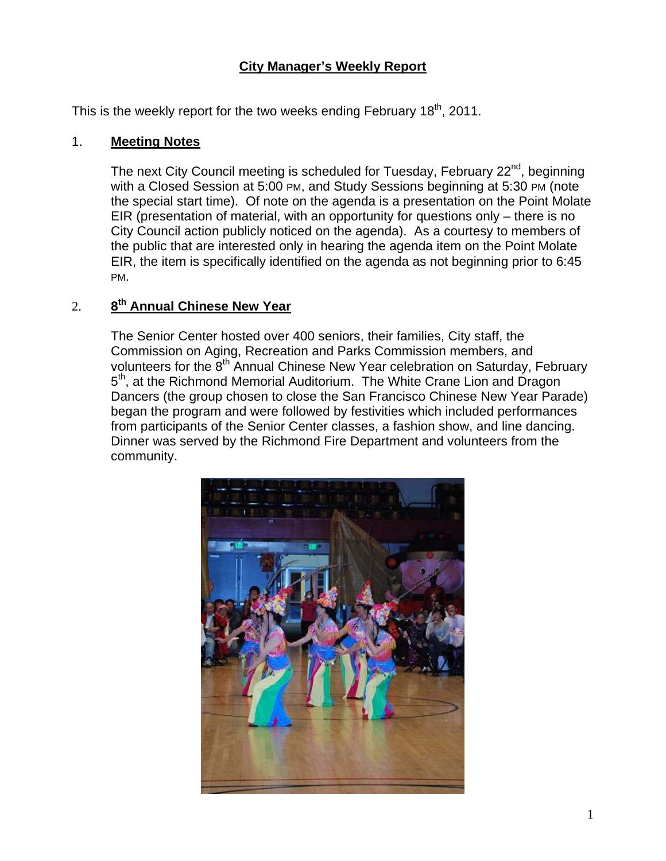## **City Manager's Weekly Report**

This is the weekly report for the two weeks ending February  $18^{th}$ , 2011.

#### 1. **Meeting Notes**

The next City Council meeting is scheduled for Tuesday, February 22<sup>nd</sup>, beginning with a Closed Session at 5:00 PM, and Study Sessions beginning at 5:30 PM (note the special start time). Of note on the agenda is a presentation on the Point Molate EIR (presentation of material, with an opportunity for questions only – there is no City Council action publicly noticed on the agenda). As a courtesy to members of the public that are interested only in hearing the agenda item on the Point Molate EIR, the item is specifically identified on the agenda as not beginning prior to 6:45 PM.

## 2. **8th Annual Chinese New Year**

The Senior Center hosted over 400 seniors, their families, City staff, the Commission on Aging, Recreation and Parks Commission members, and volunteers for the 8<sup>th</sup> Annual Chinese New Year celebration on Saturday, February 5<sup>th</sup>, at the Richmond Memorial Auditorium. The White Crane Lion and Dragon Dancers (the group chosen to close the San Francisco Chinese New Year Parade) began the program and were followed by festivities which included performances from participants of the Senior Center classes, a fashion show, and line dancing. Dinner was served by the Richmond Fire Department and volunteers from the community.

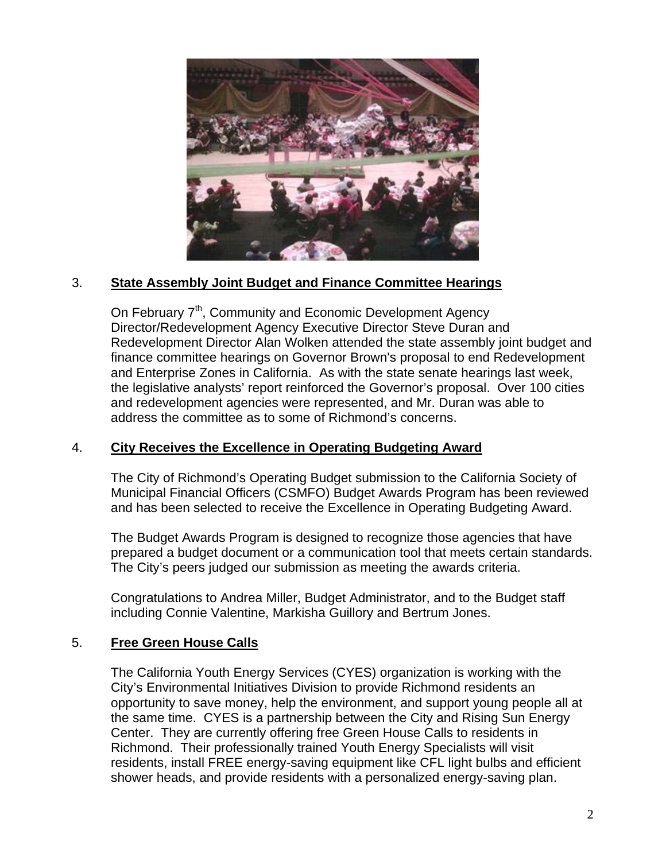

## 3. **State Assembly Joint Budget and Finance Committee Hearings**

On February 7<sup>th</sup>, Community and Economic Development Agency Director/Redevelopment Agency Executive Director Steve Duran and Redevelopment Director Alan Wolken attended the state assembly joint budget and finance committee hearings on Governor Brown's proposal to end Redevelopment and Enterprise Zones in California. As with the state senate hearings last week, the legislative analysts' report reinforced the Governor's proposal. Over 100 cities and redevelopment agencies were represented, and Mr. Duran was able to address the committee as to some of Richmond's concerns.

#### 4. **City Receives the Excellence in Operating Budgeting Award**

The City of Richmond's Operating Budget submission to the California Society of Municipal Financial Officers (CSMFO) Budget Awards Program has been reviewed and has been selected to receive the Excellence in Operating Budgeting Award.

The Budget Awards Program is designed to recognize those agencies that have prepared a budget document or a communication tool that meets certain standards. The City's peers judged our submission as meeting the awards criteria.

Congratulations to Andrea Miller, Budget Administrator, and to the Budget staff including Connie Valentine, Markisha Guillory and Bertrum Jones.

## 5. **Free Green House Calls**

The California Youth Energy Services (CYES) organization is working with the City's Environmental Initiatives Division to provide Richmond residents an opportunity to save money, help the environment, and support young people all at the same time. CYES is a partnership between the City and Rising Sun Energy Center. They are currently offering free Green House Calls to residents in Richmond. Their professionally trained Youth Energy Specialists will visit residents, install FREE energy-saving equipment like CFL light bulbs and efficient shower heads, and provide residents with a personalized energy-saving plan.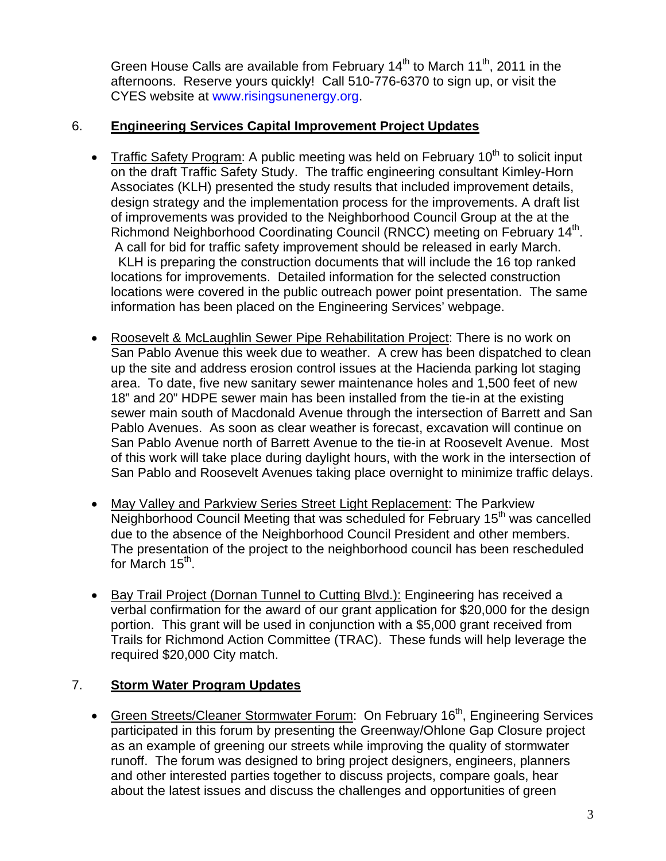Green House Calls are available from February  $14<sup>th</sup>$  to March  $11<sup>th</sup>$ , 2011 in the afternoons. Reserve yours quickly! Call 510-776-6370 to sign up, or visit the CYES website at [www.risingsunenergy.org](http://www.risingsunenergy.org/).

## 6. **Engineering Services Capital Improvement Project Updates**

- Traffic Safety Program: A public meeting was held on February 10<sup>th</sup> to solicit input on the draft Traffic Safety Study. The traffic engineering consultant Kimley-Horn Associates (KLH) presented the study results that included improvement details, design strategy and the implementation process for the improvements. A draft list of improvements was provided to the Neighborhood Council Group at the at the Richmond Neighborhood Coordinating Council (RNCC) meeting on February 14<sup>th</sup>. A call for bid for traffic safety improvement should be released in early March. KLH is preparing the construction documents that will include the 16 top ranked locations for improvements. Detailed information for the selected construction locations were covered in the public outreach power point presentation. The same information has been placed on the Engineering Services' webpage.
- Roosevelt & McLaughlin Sewer Pipe Rehabilitation Project: There is no work on San Pablo Avenue this week due to weather. A crew has been dispatched to clean up the site and address erosion control issues at the Hacienda parking lot staging area. To date, five new sanitary sewer maintenance holes and 1,500 feet of new 18" and 20" HDPE sewer main has been installed from the tie-in at the existing sewer main south of Macdonald Avenue through the intersection of Barrett and San Pablo Avenues. As soon as clear weather is forecast, excavation will continue on San Pablo Avenue north of Barrett Avenue to the tie-in at Roosevelt Avenue. Most of this work will take place during daylight hours, with the work in the intersection of San Pablo and Roosevelt Avenues taking place overnight to minimize traffic delays.
- May Valley and Parkview Series Street Light Replacement: The Parkview Neighborhood Council Meeting that was scheduled for February 15<sup>th</sup> was cancelled due to the absence of the Neighborhood Council President and other members. The presentation of the project to the neighborhood council has been rescheduled for March  $15<sup>th</sup>$ .
- Bay Trail Project (Dornan Tunnel to Cutting Blvd.): Engineering has received a verbal confirmation for the award of our grant application for \$20,000 for the design portion. This grant will be used in conjunction with a \$5,000 grant received from Trails for Richmond Action Committee (TRAC). These funds will help leverage the required \$20,000 City match.

# 7. **Storm Water Program Updates**

• Green Streets/Cleaner Stormwater Forum: On February 16<sup>th</sup>, Engineering Services participated in this forum by presenting the Greenway/Ohlone Gap Closure project as an example of greening our streets while improving the quality of stormwater runoff. The forum was designed to bring project designers, engineers, planners and other interested parties together to discuss projects, compare goals, hear about the latest issues and discuss the challenges and opportunities of green